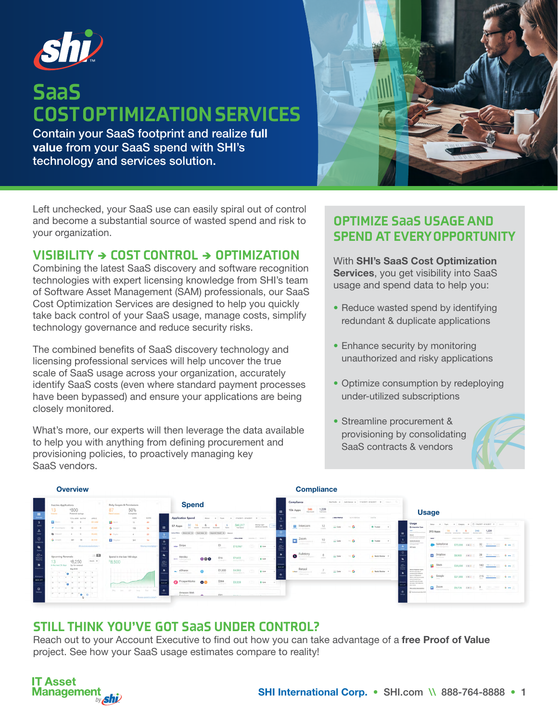

# S**aa**S COST OPTIMIZATION SERVICES

Contain your SaaS footprint and realize full value from your SaaS spend with SHI's technology and services solution.



Left unchecked, your SaaS use can easily spiral out of control and become a substantial source of wasted spend and risk to your organization.

#### VISIBILITY  $\rightarrow$  COST CONTROL  $\rightarrow$  OPTIMIZATION

Combining the latest SaaS discovery and software recognition technologies with expert licensing knowledge from SHI's team of Software Asset Management (SAM) professionals, our SaaS Cost Optimization Services are designed to help you quickly take back control of your SaaS usage, manage costs, simplify technology governance and reduce security risks.

The combined benefits of SaaS discovery technology and licensing professional services will help uncover the true scale of SaaS usage across your organization, accurately identify SaaS costs (even where standard payment processes have been bypassed) and ensure your applications are being closely monitored.

What's more, our experts will then leverage the data available to help you with anything from defining procurement and provisioning policies, to proactively managing key SaaS vendors.

### OPTIMIZE S**aa**S USAGE AND SPEND AT EVERY OPPORTUNITY

With SHI's SaaS Cost Optimization Services, you get visibility into SaaS usage and spend data to help you:

- Reduce wasted spend by identifying redundant & duplicate applications
- Enhance security by monitoring unauthorized and risky applications
- Optimize consumption by redeploying under-utilized subscriptions
- Streamline procurement & provisioning by consolidating SaaS contracts & vendors



| <b>Overview</b>                                             |                                                                                   |                                                                                                                                                           |                                    |                                                               |                     | <b>Compliance</b>                     |                                                                    |              |                      |                                       |                        |                                                    |                     |                                                                                        |                                                                            |                 |             |                 |              |                                                                                                                                     |                             |                              |                            |                                                  |                 |
|-------------------------------------------------------------|-----------------------------------------------------------------------------------|-----------------------------------------------------------------------------------------------------------------------------------------------------------|------------------------------------|---------------------------------------------------------------|---------------------|---------------------------------------|--------------------------------------------------------------------|--------------|----------------------|---------------------------------------|------------------------|----------------------------------------------------|---------------------|----------------------------------------------------------------------------------------|----------------------------------------------------------------------------|-----------------|-------------|-----------------|--------------|-------------------------------------------------------------------------------------------------------------------------------------|-----------------------------|------------------------------|----------------------------|--------------------------------------------------|-----------------|
|                                                             | Inactive Applications<br><b>800</b><br>13<br>Potential savings<br><b>Inscrime</b> |                                                                                                                                                           |                                    | Risky Scopes & Permissions<br>50%<br>Complete<br>News review: |                     |                                       |                                                                    | <b>Spend</b> |                      |                                       |                        |                                                    | ₩.                  | Compliance<br>346<br>106 Apps<br><b>Pallo Scoper</b>                                   | Risk Profile . Auth Service . 7/16/2017 - 8/16/2017<br>1,239<br>"Yorld Own |                 |             |                 | <b>Usage</b> |                                                                                                                                     |                             |                              |                            |                                                  |                 |
|                                                             | <b>Ca</b> Zoom                                                                    | TOTAL USERS MACTINE<br>$12 - 9$                                                                                                                           | ARREST<br>\$11,450                 | <b>N</b> Strik                                                | <b>USERS</b><br>12  | ncores.<br>491                        | <b>Application Spend</b>                                           | Status:      |                      | T/16/2017 - 8/16/2017<br>$\mathbf{v}$ |                        | Servi-                                             |                     | 2 included                                                                             | 1 AVENUE                                                                   | <b>BUILDING</b> | WORKER      | <b>CLATING</b>  |              |                                                                                                                                     |                             |                              |                            |                                                  |                 |
| $S_{\text{pred}}$                                           | <b>A</b> Accompany                                                                | 12.5                                                                                                                                                      | \$7,000                            | G Google                                                      | 150                 | 34                                    | 57 Apps<br>- 22                                                    |              |                      | \$40,21<br><b>Total Spend</b>         |                        | Musing in app <sup>2</sup><br>Address poi manualla | A.<br><b>A SAFA</b> | $\blacksquare$ Intercom                                                                | 12<br>unies.                                                               | $\equiv$ Low    | $n_{\rm B}$ | O Trated +      |              | Usage<br>Colemandos Type                                                                                                            |                             |                              |                            |                                                  |                 |
| $\mathbb{R}^n$<br>Usage                                     | Disjond                                                                           |                                                                                                                                                           | 52,600                             | $Q$ Zapier                                                    |                     | 23 <sup>°</sup>                       | Active Piltons   Status Live X   Taxes Sales X                     |              |                      |                                       |                        |                                                    |                     |                                                                                        |                                                                            |                 |             |                 | $\ddot{ }$   | 550<br><b>Bush first 200 common</b><br>Doct.<br>Don't do, his that sing more                                                        | 393 Apps                    | Isolomed Unpricered Blackbad | 346<br>Externalist Liveria | 1,239                                            |                 |
| $\overline{\bullet}$                                        | G Google                                                                          | 241<br>$^{14}$                                                                                                                                            | 33,550                             | <b>U</b> Displays                                             | 341                 | 14                                    | <b>SAAR</b><br>$\ddot{\phantom{a}}$<br><b>Shipper</b>              | <b>FEART</b> | 3 GLEY ANNUALLY      | - TITALSFIRE                          | America V - Parties VI |                                                    |                     | Zoom<br>Þ<br>which is a company of                                                     | 10                                                                         | $\equiv$ Low    | $\sim$ G    | O Trated -      |              | exp made bondon & detections<br><b>Authentications</b><br><b>There for any authorities</b><br>Article a day                         | <b>NAME!</b>                | ANNUAL DISTRICT   TAAALAANS  |                            | visible a Atheny p                               | <b>VOURCE I</b> |
| $\mathbf{a}$<br>Teams                                       |                                                                                   |                                                                                                                                                           | All mechanism applications is      |                                                               |                     | <b>Review templance</b>               | stripe<br>$\varnothing$<br>County & Hisman                         |              | \$1<br>AN OCCUPATION | \$10,967                              | GD)                    | 8 Uve                                              | ⊛                   |                                                                                        |                                                                            |                 |             |                 |              | ALDers                                                                                                                              | Salesforce                  |                              |                            | \$72,000 $64.4 \times 32$ $22.44 \times 100$ 6 m |                 |
| $\bigotimes_{\mathbb{R}^n \atop \text{Maplace}} \mathbb{R}$ | <b>Upcoming Renewals</b><br>13                                                    | \$8,250                                                                                                                                                   | $=$ $\Box$<br>$_{\rm M000}$ $\sim$ | Spend in the last 180 days<br><b>\$8,500</b>                  |                     |                                       | $\frac{1}{2}$<br>Heroku<br>gas attachment<br>$\circ$<br>150 months | 000          | \$16                 | \$7,632                               | 15D)                   | B Ure                                              |                     | Fullstory<br>$\bullet$                                                                 | retire                                                                     | $\equiv$ Low    | $\sim$ G    | A Nexts Review  |              |                                                                                                                                     | Dropbox                     |                              |                            | \$8,900 Ex = 28 Binnetten G am                   |                 |
| $\rightarrow$                                               | In the next 30 days Up for nenewal                                                | May 2018<br>$-10$ $-10$ $-1$ $-1$ $-10$                                                                                                                   |                                    |                                                               |                     |                                       | $\rightarrow$<br>eShares<br>$\sim$<br>Fenera & Values              |              | \$1,000              | \$4,500                               | æ                      | B Live                                             | $\bullet$           | Retool<br><b>School</b><br>4 Markunstein Ltd.<br><b><i>Charles College College</i></b> | ceany.                                                                     | $\equiv$ Low    | <b>ING</b>  | A Neds Review - |              | About braurates Types<br>Not all usage data in<br>rested equal Different                                                            | Slack Stack                 |                              |                            | \$35,000 DEA = 182 MARCH 6 am                    |                 |
| Windstown<br>MAIN APP                                       |                                                                                   | $4$ $7$ $8$ $1$ $10$ $10$<br>$\label{eq:1.1} \mathbf{u} = \mathbf{u} - \mathbf{u}_0, \quad \mathbf{u} = \mathbf{u} - \mathbf{u} - \mathbf{u},$            |                                    |                                                               |                     |                                       | ProsperWorks<br><b>Show are</b>                                    | $\bullet$    | \$384                | \$3,328                               | $\sim$ 000 $\mu$ .     | B Un                                               |                     |                                                                                        |                                                                            |                 |             |                 |              | sens of integrations<br>Direct 200 and 34 parts<br>a destroyed have<br>single feetund and<br>accuracy Chick below by<br>hours more. | G Google<br><b>Table 19</b> |                              |                            | \$21,850 $E K A$ = 215 $M = 215$                 |                 |
| $\bullet$<br>Sering                                         |                                                                                   | $21$ $21$ $22$ $23$ $24$ $25$<br>$\mathbb{R} \qquad \mathbb{R} \qquad \mathbb{R} \qquad \mathbb{R} \qquad \mathbb{R} \qquad \mathbf{0} \qquad \mathbf{0}$ |                                    | May Jan.                                                      | <b>SOF</b><br>Web 1 | Sep Out 0<br>Review spend in ristal » | Amazon Web<br>Canánas                                              |              | \$32                 | Andre                                 | Common City            |                                                    |                     |                                                                                        |                                                                            |                 |             |                 | ۰            | Mos.good.data.modes<br>49 Dominium Avenue (CO)                                                                                      | Zoom \$9,735 x x + 8 + 6 m  |                              |                            |                                                  |                 |

### STILL THINK YOU'VE GOT S**aa**S UNDER CONTROL?

Reach out to your Account Executive to find out how you can take advantage of a free Proof of Value project. See how your SaaS usage estimates compare to reality!